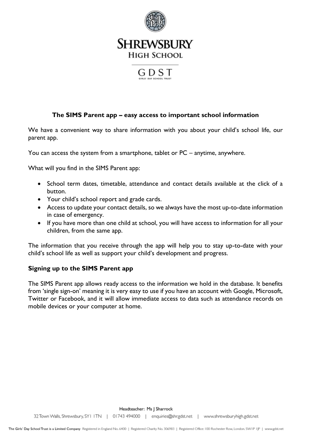

## **SHREWSBURY HIGH SCHOOL**



#### **The SIMS Parent app – easy access to important school information**

We have a convenient way to share information with you about your child's school life, our parent app.

You can access the system from a smartphone, tablet or PC – anytime, anywhere.

What will you find in the SIMS Parent app:

- School term dates, timetable, attendance and contact details available at the click of a button.
- Your child's school report and grade cards.
- Access to update your contact details, so we always have the most up-to-date information in case of emergency.
- If you have more than one child at school, you will have access to information for all your children, from the same app.

The information that you receive through the app will help you to stay up-to-date with your child's school life as well as support your child's development and progress.

#### **Signing up to the SIMS Parent app**

The SIMS Parent app allows ready access to the information we hold in the database. It benefits from 'single sign-on' meaning it is very easy to use if you have an account with Google, Microsoft, Twitter or Facebook, and it will allow immediate access to data such as attendance records on mobile devices or your computer at home.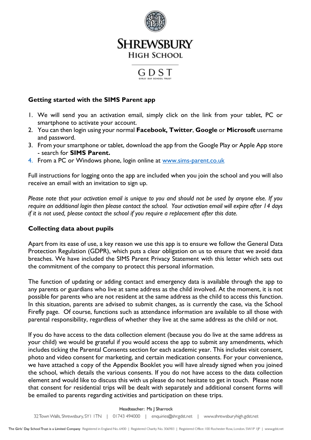

## **SHREWSBURY HIGH SCHOOL**

# GDST

#### **Getting started with the SIMS Parent app**

- 1. We will send you an activation email, simply click on the link from your tablet, PC or smartphone to activate your account.
- 2. You can then login using your normal **Facebook, Twitter**, **Google** or **Microsoft** username and password.
- 3. From your smartphone or tablet, download the app from the Google Play or Apple App store - search for **SIMS Parent.**
- 4. From a PC or Windows phone, login online at [www.sims-parent.co.uk](http://www.sims-parent.co.uk/)

Full instructions for logging onto the app are included when you join the school and you will also receive an email with an invitation to sign up.

*Please note that your activation email is unique to you and should not be used by anyone else. If you require an additional login then please contact the school. Your activation email will expire after 14 days if it is not used, please contact the school if you require a replacement after this date.*

### **Collecting data about pupils**

Apart from its ease of use, a key reason we use this app is to ensure we follow the General Data Protection Regulation (GDPR), which puts a clear obligation on us to ensure that we avoid data breaches. We have included the SIMS Parent Privacy Statement with this letter which sets out the commitment of the company to protect this personal information.

The function of updating or adding contact and emergency data is available through the app to any parents or guardians who live at same address as the child involved. At the moment, it is not possible for parents who are not resident at the same address as the child to access this function. In this situation, parents are advised to submit changes, as is currently the case, via the School Firefly page. Of course, functions such as attendance information are available to all those with parental responsibility, regardless of whether they live at the same address as the child or not.

If you do have access to the data collection element (because you do live at the same address as your child) we would be grateful if you would access the app to submit any amendments, which includes ticking the Parental Consents section for each academic year. This includes visit consent, photo and video consent for marketing, and certain medication consents. For your convenience, we have attached a copy of the Appendix Booklet you will have already signed when you joined the school, which details the various consents. If you do not have access to the data collection element and would like to discuss this with us please do not hesitate to get in touch. Please note that consent for residential trips will be dealt with separately and additional consent forms will be emailed to parents regarding activities and participation on these trips.

Headteacher: Ms J Sharrock